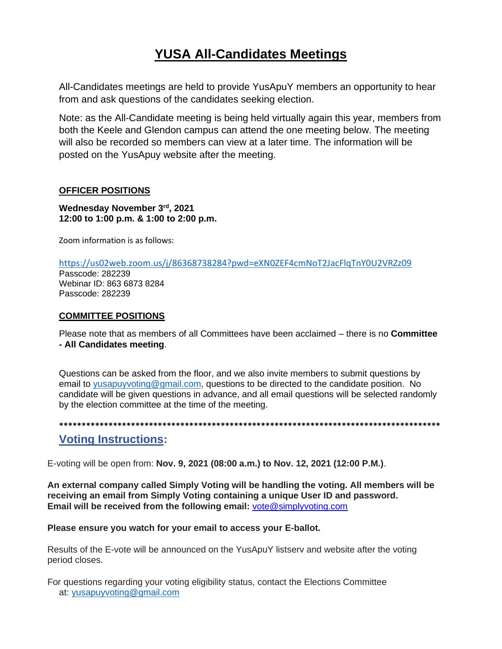# **YUSA All-Candidates Meetings**

All-Candidates meetings are held to provide YusApuY members an opportunity to hear from and ask questions of the candidates seeking election.

Note: as the All-Candidate meeting is being held virtually again this year, members from both the Keele and Glendon campus can attend the one meeting below. The meeting will also be recorded so members can view at a later time. The information will be posted on the YusApuy website after the meeting.

### **OFFICER POSITIONS**

**Wednesday November 3rd, 2021 12:00 to 1:00 p.m. & 1:00 to 2:00 p.m.**

Zoom information is as follows:

<https://us02web.zoom.us/j/86368738284?pwd=eXN0ZEF4cmNoT2JacFlqTnY0U2VRZz09>

Passcode: 282239 Webinar ID: 863 6873 8284 Passcode: 282239

### **COMMITTEE POSITIONS**

Please note that as members of all Committees have been acclaimed – there is no **Committee - All Candidates meeting**.

Questions can be asked from the floor, and we also invite members to submit questions by email to [yusapuyvoting@gmail.com,](mailto:yusapuyvoting@gmail.com) questions to be directed to the candidate position. No candidate will be given questions in advance, and all email questions will be selected randomly by the election committee at the time of the meeting.

# **\*\*\*\*\*\*\*\*\*\*\*\*\*\*\*\*\*\*\*\*\*\*\*\*\*\*\*\*\*\*\*\*\*\*\*\*\*\*\*\*\*\*\*\*\*\*\*\*\*\*\*\*\*\*\*\*\*\*\*\*\*\*\*\*\*\*\*\*\*\*\*\*\*\*\*\*\*\*\*\*\*\*\*\*\***

## **Voting Instructions:**

E-voting will be open from: **Nov. 9, 2021 (08:00 a.m.) to Nov. 12, 2021 (12:00 P.M.)**.

**An external company called Simply Voting will be handling the voting. All members will be receiving an email from Simply Voting containing a unique User ID and password. Email will be received from the following email:** [vote@simplyvoting.com](mailto:vote@simplyvoting.com)

### **Please ensure you watch for your email to access your E-ballot.**

Results of the E-vote will be announced on the YusApuY listserv and website after the voting period closes.

For questions regarding your voting eligibility status, contact the Elections Committee at: [yusapuyvoting@gmail.com](mailto:yusapuyvoting@gmail.com)